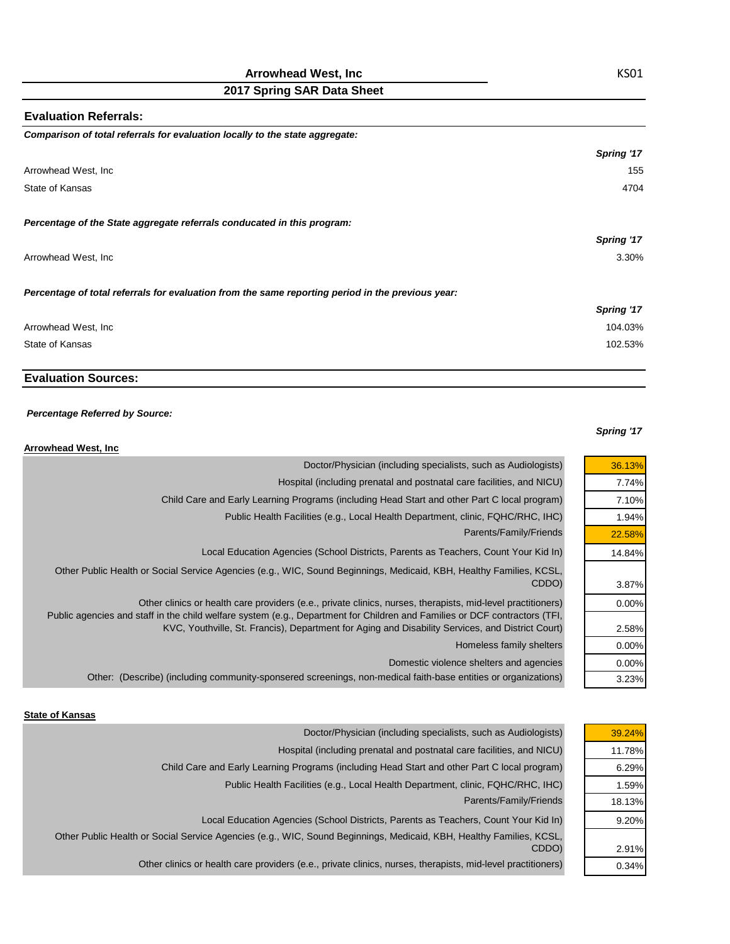## **Arrowhead West, Inc**

# **2017 Spring SAR Data Sheet**

| <b>Evaluation Referrals:</b>                                                                      |            |
|---------------------------------------------------------------------------------------------------|------------|
| Comparison of total referrals for evaluation locally to the state aggregate:                      |            |
|                                                                                                   | Spring '17 |
| Arrowhead West, Inc                                                                               | 155        |
| State of Kansas                                                                                   | 4704       |
| Percentage of the State aggregate referrals conducated in this program:                           |            |
|                                                                                                   | Spring '17 |
| Arrowhead West, Inc                                                                               | 3.30%      |
| Percentage of total referrals for evaluation from the same reporting period in the previous year: |            |
|                                                                                                   | Spring '17 |
| Arrowhead West, Inc                                                                               | 104.03%    |
| State of Kansas                                                                                   | 102.53%    |

# **Evaluation Sources:**

### *Percentage Referred by Source:*

### *Spring '17*

| <b>Arrowhead West, Inc.</b>                                                                                                                                                                                                    |        |
|--------------------------------------------------------------------------------------------------------------------------------------------------------------------------------------------------------------------------------|--------|
| Doctor/Physician (including specialists, such as Audiologists)                                                                                                                                                                 | 36.13% |
| Hospital (including prenatal and postnatal care facilities, and NICU)                                                                                                                                                          | 7.74%  |
| Child Care and Early Learning Programs (including Head Start and other Part C local program)                                                                                                                                   | 7.10%  |
| Public Health Facilities (e.g., Local Health Department, clinic, FQHC/RHC, IHC)                                                                                                                                                | 1.94%  |
| Parents/Family/Friends                                                                                                                                                                                                         | 22.58% |
| Local Education Agencies (School Districts, Parents as Teachers, Count Your Kid In)                                                                                                                                            | 14.84% |
| Other Public Health or Social Service Agencies (e.g., WIC, Sound Beginnings, Medicaid, KBH, Healthy Families, KCSL,<br>CDDO)                                                                                                   | 3.87%  |
| Other clinics or health care providers (e.e., private clinics, nurses, therapists, mid-level practitioners)                                                                                                                    | 0.00%  |
| Public agencies and staff in the child welfare system (e.g., Department for Children and Families or DCF contractors (TFI,<br>KVC, Youthville, St. Francis), Department for Aging and Disability Services, and District Court) | 2.58%  |
| Homeless family shelters                                                                                                                                                                                                       | 0.00%  |
| Domestic violence shelters and agencies                                                                                                                                                                                        | 0.00%  |
| Other: (Describe) (including community-sponsered screenings, non-medical faith-base entities or organizations)                                                                                                                 | 3.23%  |

#### **State of Kansas**

| 39.24% | Doctor/Physician (including specialists, such as Audiologists)                                                               |
|--------|------------------------------------------------------------------------------------------------------------------------------|
| 11.78% | Hospital (including prenatal and postnatal care facilities, and NICU)                                                        |
| 6.29%  | Child Care and Early Learning Programs (including Head Start and other Part C local program)                                 |
| 1.59%  | Public Health Facilities (e.g., Local Health Department, clinic, FQHC/RHC, IHC)                                              |
| 18.13% | Parents/Family/Friends                                                                                                       |
| 9.20%  | Local Education Agencies (School Districts, Parents as Teachers, Count Your Kid In)                                          |
| 2.91%  | Other Public Health or Social Service Agencies (e.g., WIC, Sound Beginnings, Medicaid, KBH, Healthy Families, KCSL,<br>CDDO) |
| 0.34%  | Other clinics or health care providers (e.e., private clinics, nurses, therapists, mid-level practitioners)                  |
|        |                                                                                                                              |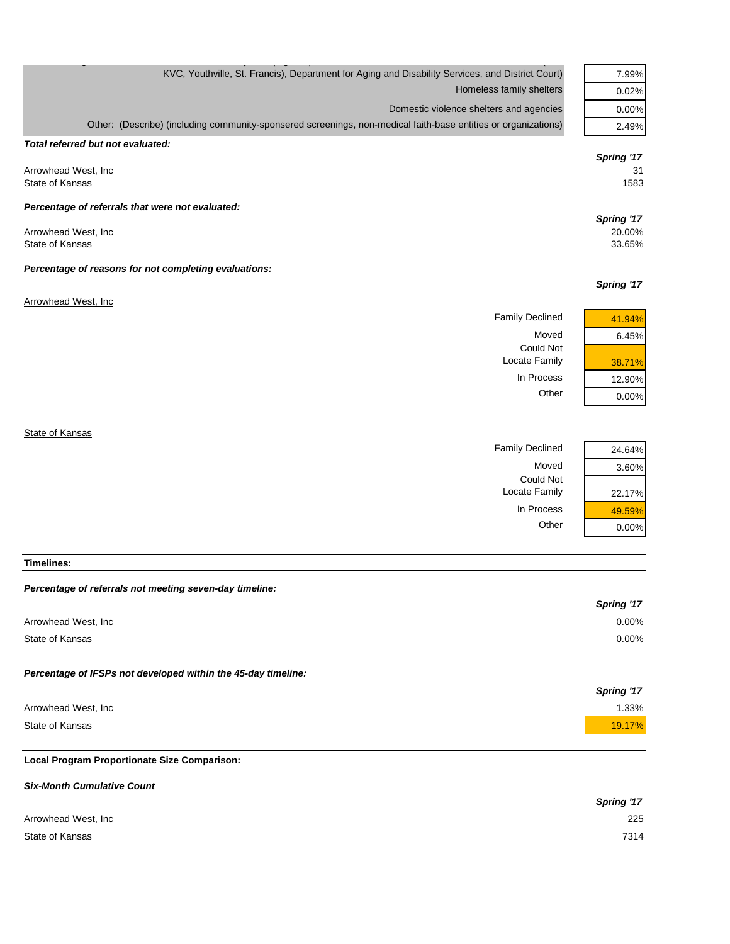| KVC, Youthville, St. Francis), Department for Aging and Disability Services, and District Court)               | 7.99%                          |
|----------------------------------------------------------------------------------------------------------------|--------------------------------|
| Homeless family shelters                                                                                       | 0.02%                          |
| Domestic violence shelters and agencies                                                                        | 0.00%                          |
| Other: (Describe) (including community-sponsered screenings, non-medical faith-base entities or organizations) | 2.49%                          |
| Total referred but not evaluated:                                                                              | Spring '17                     |
| Arrowhead West, Inc.<br>State of Kansas                                                                        | 31<br>1583                     |
| Percentage of referrals that were not evaluated:                                                               |                                |
| Arrowhead West, Inc.<br>State of Kansas                                                                        | Spring '17<br>20.00%<br>33.65% |
| Percentage of reasons for not completing evaluations:                                                          | Spring '17                     |
| Arrowhead West, Inc.                                                                                           |                                |
| <b>Family Declined</b>                                                                                         | 41.94%                         |
| Moved                                                                                                          | 6.45%                          |
| <b>Could Not</b><br>Locate Family                                                                              | 38.71%                         |
| In Process                                                                                                     | 12.90%                         |

**State of Kansas** 

| 24.64% | <b>Family Declined</b> |
|--------|------------------------|
| 3.60%  | Moved                  |
|        | Could Not              |
| 22.17% | Locate Family          |
| 49.59% | In Process             |
| 0.00%  | Other                  |
|        |                        |

Other 0.00%

**Timelines:**

#### *Percentage of referrals not meeting seven-day timeline:*

|                                                               | Spring '17 |
|---------------------------------------------------------------|------------|
| Arrowhead West, Inc.                                          | $0.00\%$   |
| State of Kansas                                               | $0.00\%$   |
| Percentage of IFSPs not developed within the 45-day timeline: |            |
|                                                               | Spring '17 |
| Arrowhead West, Inc.                                          | 1.33%      |
| State of Kansas                                               | 19.17%     |
|                                                               |            |
| Local Program Proportionate Size Comparison:                  |            |

#### *Six-Month Cumulative Count*

|                     | <b>Spring '17</b> |
|---------------------|-------------------|
| Arrowhead West, Inc | 225               |
| State of Kansas     | 7314              |